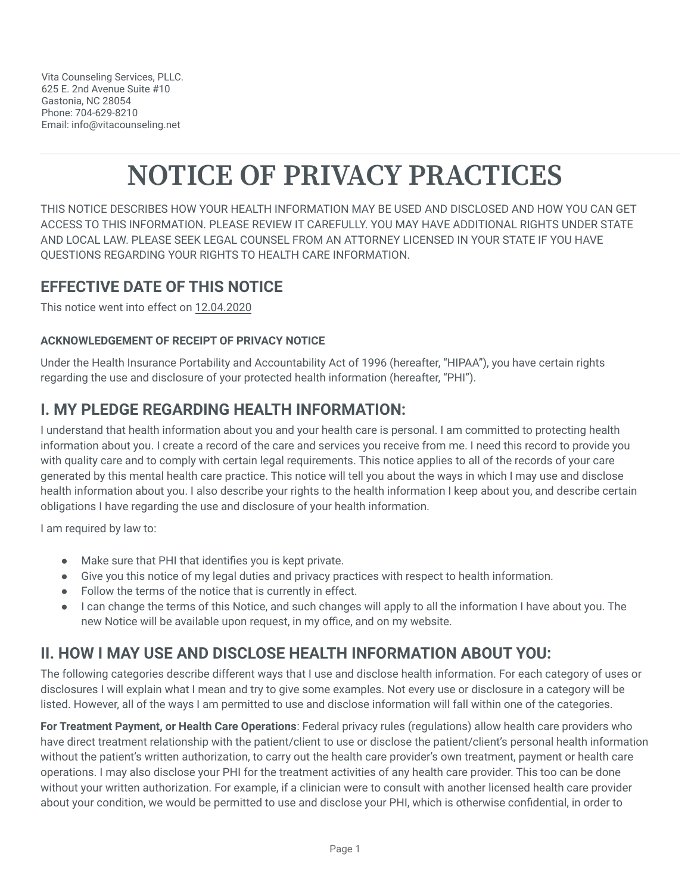# **NOTICE OF PRIVACY PRACTICES**

THIS NOTICE DESCRIBES HOW YOUR HEALTH INFORMATION MAY BE USED AND DISCLOSED AND HOW YOU CAN GET ACCESS TO THIS INFORMATION. PLEASE REVIEW IT CAREFULLY. YOU MAY HAVE ADDITIONAL RIGHTS UNDER STATE AND LOCAL LAW. PLEASE SEEK LEGAL COUNSEL FROM AN ATTORNEY LICENSED IN YOUR STATE IF YOU HAVE QUESTIONS REGARDING YOUR RIGHTS TO HEALTH CARE INFORMATION.

#### **EFFECTIVE DATE OF THIS NOTICE**

This notice went into effect on 12.04.2020

#### **ACKNOWLEDGEMENT OF RECEIPT OF PRIVACY NOTICE**

Under the Health Insurance Portability and Accountability Act of 1996 (hereafter, "HIPAA"), you have certain rights regarding the use and disclosure of your protected health information (hereafter, "PHI").

#### **I. MY PLEDGE REGARDING HEALTH INFORMATION:**

I understand that health information about you and your health care is personal. I am committed to protecting health information about you. I create a record of the care and services you receive from me. I need this record to provide you with quality care and to comply with certain legal requirements. This notice applies to all of the records of your care generated by this mental health care practice. This notice will tell you about the ways in which I may use and disclose health information about you. I also describe your rights to the health information I keep about you, and describe certain obligations I have regarding the use and disclosure of your health information.

I am required by law to:

- Make sure that PHI that identifies you is kept private.
- Give you this notice of my legal duties and privacy practices with respect to health information.
- Follow the terms of the notice that is currently in effect.
- I can change the terms of this Notice, and such changes will apply to all the information I have about you. The new Notice will be available upon request, in my office, and on my website.

# **II. HOW I MAY USE AND DISCLOSE HEALTH INFORMATION ABOUT YOU:**

The following categories describe different ways that I use and disclose health information. For each category of uses or disclosures I will explain what I mean and try to give some examples. Not every use or disclosure in a category will be listed. However, all of the ways I am permitted to use and disclose information will fall within one of the categories.

**For Treatment Payment, or Health Care Operations**: Federal privacy rules (regulations) allow health care providers who have direct treatment relationship with the patient/client to use or disclose the patient/client's personal health information without the patient's written authorization, to carry out the health care provider's own treatment, payment or health care operations. I may also disclose your PHI for the treatment activities of any health care provider. This too can be done without your written authorization. For example, if a clinician were to consult with another licensed health care provider about your condition, we would be permitted to use and disclose your PHI, which is otherwise confidential, in order to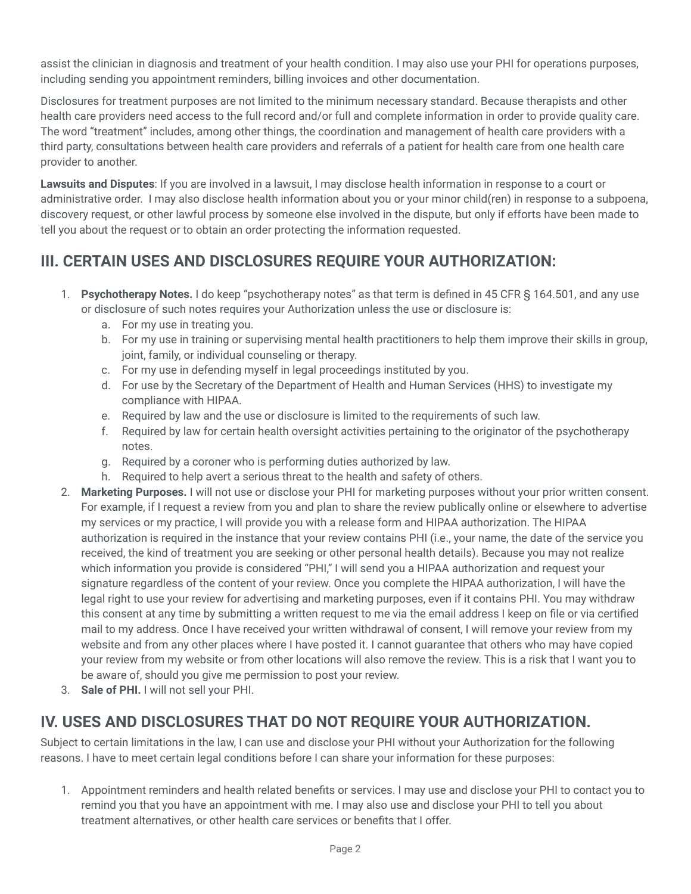assist the clinician in diagnosis and treatment of your health condition. I may also use your PHI for operations purposes, including sending you appointment reminders, billing invoices and other documentation.

Disclosures for treatment purposes are not limited to the minimum necessary standard. Because therapists and other health care providers need access to the full record and/or full and complete information in order to provide quality care. The word "treatment" includes, among other things, the coordination and management of health care providers with a third party, consultations between health care providers and referrals of a patient for health care from one health care provider to another.

**Lawsuits and Disputes**: If you are involved in a lawsuit, I may disclose health information in response to a court or administrative order. I may also disclose health information about you or your minor child(ren) in response to a subpoena, discovery request, or other lawful process by someone else involved in the dispute, but only if efforts have been made to tell you about the request or to obtain an order protecting the information requested.

#### **III. CERTAIN USES AND DISCLOSURES REQUIRE YOUR AUTHORIZATION:**

- 1. **Psychotherapy Notes.** I do keep "psychotherapy notes" as that term is defined in 45 CFR § 164.501, and any use or disclosure of such notes requires your Authorization unless the use or disclosure is:
	- a. For my use in treating you.
	- b. For my use in training or supervising mental health practitioners to help them improve their skills in group, joint, family, or individual counseling or therapy.
	- c. For my use in defending myself in legal proceedings instituted by you.
	- d. For use by the Secretary of the Department of Health and Human Services (HHS) to investigate my compliance with HIPAA.
	- e. Required by law and the use or disclosure is limited to the requirements of such law.
	- f. Required by law for certain health oversight activities pertaining to the originator of the psychotherapy notes.
	- g. Required by a coroner who is performing duties authorized by law.
	- h. Required to help avert a serious threat to the health and safety of others.
- 2. **Marketing Purposes.** I will not use or disclose your PHI for marketing purposes without your prior written consent. For example, if I request a review from you and plan to share the review publically online or elsewhere to advertise my services or my practice, I will provide you with a release form and HIPAA authorization. The HIPAA authorization is required in the instance that your review contains PHI (i.e., your name, the date of the service you received, the kind of treatment you are seeking or other personal health details). Because you may not realize which information you provide is considered "PHI," I will send you a HIPAA authorization and request your signature regardless of the content of your review. Once you complete the HIPAA authorization, I will have the legal right to use your review for advertising and marketing purposes, even if it contains PHI. You may withdraw this consent at any time by submitting a written request to me via the email address I keep on file or via certified mail to my address. Once I have received your written withdrawal of consent, I will remove your review from my website and from any other places where I have posted it. I cannot guarantee that others who may have copied your review from my website or from other locations will also remove the review. This is a risk that I want you to be aware of, should you give me permission to post your review.
- 3. **Sale of PHI.** I will not sell your PHI.

# **IV. USES AND DISCLOSURES THAT DO NOT REQUIRE YOUR AUTHORIZATION.**

Subject to certain limitations in the law, I can use and disclose your PHI without your Authorization for the following reasons. I have to meet certain legal conditions before I can share your information for these purposes:

1. Appointment reminders and health related benefits or services. I may use and disclose your PHI to contact you to remind you that you have an appointment with me. I may also use and disclose your PHI to tell you about treatment alternatives, or other health care services or benefits that I offer.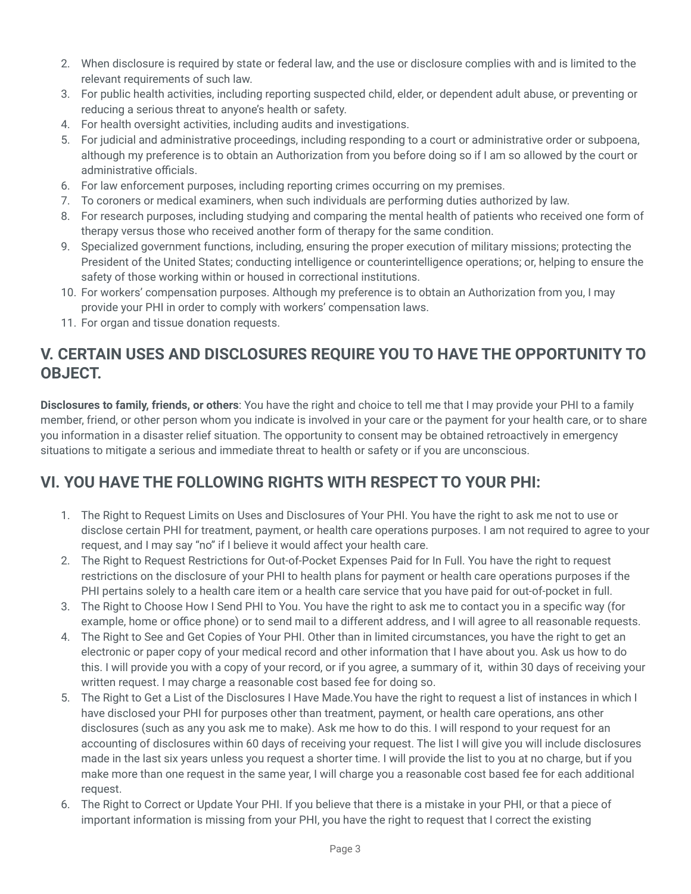- 2. When disclosure is required by state or federal law, and the use or disclosure complies with and is limited to the relevant requirements of such law.
- 3. For public health activities, including reporting suspected child, elder, or dependent adult abuse, or preventing or reducing a serious threat to anyone's health or safety.
- 4. For health oversight activities, including audits and investigations.
- 5. For judicial and administrative proceedings, including responding to a court or administrative order or subpoena, although my preference is to obtain an Authorization from you before doing so if I am so allowed by the court or administrative officials.
- 6. For law enforcement purposes, including reporting crimes occurring on my premises.
- 7. To coroners or medical examiners, when such individuals are performing duties authorized by law.
- 8. For research purposes, including studying and comparing the mental health of patients who received one form of therapy versus those who received another form of therapy for the same condition.
- 9. Specialized government functions, including, ensuring the proper execution of military missions; protecting the President of the United States; conducting intelligence or counterintelligence operations; or, helping to ensure the safety of those working within or housed in correctional institutions.
- 10. For workers' compensation purposes. Although my preference is to obtain an Authorization from you, I may provide your PHI in order to comply with workers' compensation laws.
- 11. For organ and tissue donation requests.

#### **V. CERTAIN USES AND DISCLOSURES REQUIRE YOU TO HAVE THE OPPORTUNITY TO OBJECT.**

**Disclosures to family, friends, or others**: You have the right and choice to tell me that I may provide your PHI to a family member, friend, or other person whom you indicate is involved in your care or the payment for your health care, or to share you information in a disaster relief situation. The opportunity to consent may be obtained retroactively in emergency situations to mitigate a serious and immediate threat to health or safety or if you are unconscious.

# **VI. YOU HAVE THE FOLLOWING RIGHTS WITH RESPECT TO YOUR PHI:**

- 1. The Right to Request Limits on Uses and Disclosures of Your PHI. You have the right to ask me not to use or disclose certain PHI for treatment, payment, or health care operations purposes. I am not required to agree to your request, and I may say "no" if I believe it would affect your health care.
- 2. The Right to Request Restrictions for Out-of-Pocket Expenses Paid for In Full. You have the right to request restrictions on the disclosure of your PHI to health plans for payment or health care operations purposes if the PHI pertains solely to a health care item or a health care service that you have paid for out-of-pocket in full.
- 3. The Right to Choose How I Send PHI to You. You have the right to ask me to contact you in a specific way (for example, home or office phone) or to send mail to a different address, and I will agree to all reasonable requests.
- 4. The Right to See and Get Copies of Your PHI. Other than in limited circumstances, you have the right to get an electronic or paper copy of your medical record and other information that I have about you. Ask us how to do this. I will provide you with a copy of your record, or if you agree, a summary of it, within 30 days of receiving your written request. I may charge a reasonable cost based fee for doing so.
- 5. The Right to Get a List of the Disclosures I Have Made.You have the right to request a list of instances in which I have disclosed your PHI for purposes other than treatment, payment, or health care operations, ans other disclosures (such as any you ask me to make). Ask me how to do this. I will respond to your request for an accounting of disclosures within 60 days of receiving your request. The list I will give you will include disclosures made in the last six years unless you request a shorter time. I will provide the list to you at no charge, but if you make more than one request in the same year, I will charge you a reasonable cost based fee for each additional request.
- 6. The Right to Correct or Update Your PHI. If you believe that there is a mistake in your PHI, or that a piece of important information is missing from your PHI, you have the right to request that I correct the existing